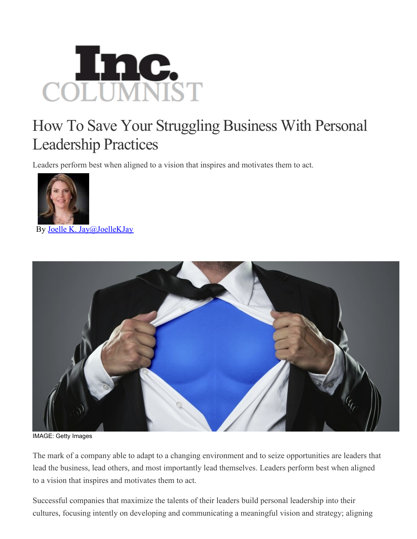

## How To Save Your Struggling Business With Personal Leadership Practices

Leaders perform best when aligned to a vision that inspires and motivates them to act.



By Joelle K. [Jay@JoelleKJay](http://www.inc.com/author/joelle-k-jay)



IMAGE: Getty Images

The mark of a company able to adapt to a changing environment and to seize opportunities are leaders that lead the business, lead others, and most importantly lead themselves. Leaders perform best when aligned to a vision that inspires and motivates them to act.

Successful companies that maximize the talents of their leaders build personal leadership into their cultures, focusing intently on developing and communicating a meaningful vision and strategy; aligning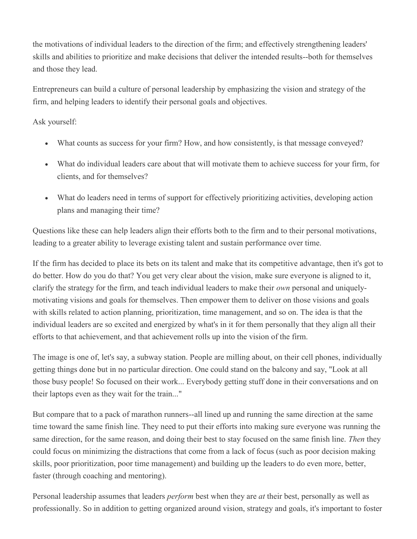the motivations of individual leaders to the direction of the firm; and effectively strengthening leaders' skills and abilities to prioritize and make decisions that deliver the intended results--both for themselves and those they lead.

Entrepreneurs can build a culture of personal leadership by emphasizing the vision and strategy of the firm, and helping leaders to identify their personal goals and objectives.

Ask yourself:

- What counts as success for your firm? How, and how consistently, is that message conveyed?
- What do individual leaders care about that will motivate them to achieve success for your firm, for clients, and for themselves?
- What do leaders need in terms of support for effectively prioritizing activities, developing action plans and managing their time?

Questions like these can help leaders align their efforts both to the firm and to their personal motivations, leading to a greater ability to leverage existing talent and sustain performance over time.

If the firm has decided to place its bets on its talent and make that its competitive advantage, then it's got to do better. How do you do that? You get very clear about the vision, make sure everyone is aligned to it, clarify the strategy for the firm, and teach individual leaders to make their *own* personal and uniquelymotivating visions and goals for themselves. Then empower them to deliver on those visions and goals with skills related to action planning, prioritization, time management, and so on. The idea is that the individual leaders are so excited and energized by what's in it for them personally that they align all their efforts to that achievement, and that achievement rolls up into the vision of the firm.

The image is one of, let's say, a subway station. People are milling about, on their cell phones, individually getting things done but in no particular direction. One could stand on the balcony and say, "Look at all those busy people! So focused on their work... Everybody getting stuff done in their conversations and on their laptops even as they wait for the train..."

But compare that to a pack of marathon runners--all lined up and running the same direction at the same time toward the same finish line. They need to put their efforts into making sure everyone was running the same direction, for the same reason, and doing their best to stay focused on the same finish line. *Then* they could focus on minimizing the distractions that come from a lack of focus (such as poor decision making skills, poor prioritization, poor time management) and building up the leaders to do even more, better, faster (through coaching and mentoring).

Personal leadership assumes that leaders *perform* best when they are *at* their best, personally as well as professionally. So in addition to getting organized around vision, strategy and goals, it's important to foster